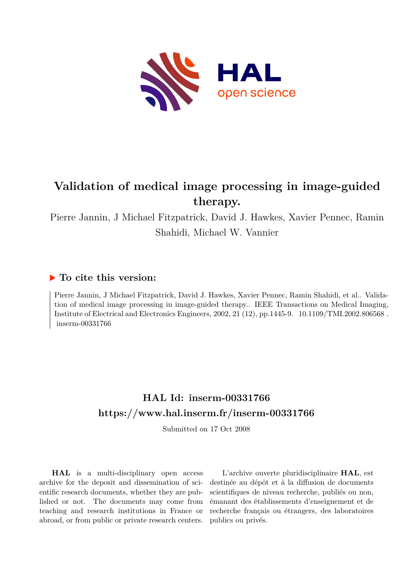

## **Validation of medical image processing in image-guided therapy.**

Pierre Jannin, J Michael Fitzpatrick, David J. Hawkes, Xavier Pennec, Ramin Shahidi, Michael W. Vannier

### **To cite this version:**

Pierre Jannin, J Michael Fitzpatrick, David J. Hawkes, Xavier Pennec, Ramin Shahidi, et al.. Validation of medical image processing in image-guided therapy.. IEEE Transactions on Medical Imaging, Institute of Electrical and Electronics Engineers, 2002, 21 (12), pp.1445-9.  $10.1109/TMI.2002.806568$ .  $inserm-00331766$ 

## **HAL Id: inserm-00331766 <https://www.hal.inserm.fr/inserm-00331766>**

Submitted on 17 Oct 2008

**HAL** is a multi-disciplinary open access archive for the deposit and dissemination of scientific research documents, whether they are published or not. The documents may come from teaching and research institutions in France or abroad, or from public or private research centers.

L'archive ouverte pluridisciplinaire **HAL**, est destinée au dépôt et à la diffusion de documents scientifiques de niveau recherche, publiés ou non, émanant des établissements d'enseignement et de recherche français ou étrangers, des laboratoires publics ou privés.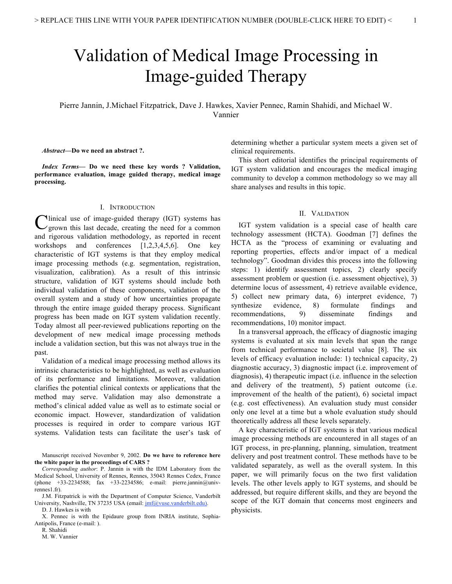# Validation of Medical Image Processing in Image-guided Therapy

Pierre Jannin, J.Michael Fitzpatrick, Dave J. Hawkes, Xavier Pennec, Ramin Shahidi, and Michael W. Vannier

*Abstract***—Do we need an abstract ?.**

*Index Terms***— Do we need these key words ? Validation, performance evaluation, image guided therapy, medical image processing.**

#### I. INTRODUCTION

linical use of image-guided therapy (IGT) systems has Clinical use of image-guided therapy (IGT) systems has grown this last decade, creating the need for a common and rigorous validation methodology, as reported in recent workshops and conferences [1,2,3,4,5,6]. One key characteristic of IGT systems is that they employ medical image processing methods (e.g. segmentation, registration, visualization, calibration). As a result of this intrinsic structure, validation of IGT systems should include both individual validation of these components, validation of the overall system and a study of how uncertainties propagate through the entire image guided therapy process. Significant progress has been made on IGT system validation recently. Today almost all peer-reviewed publications reporting on the development of new medical image processing methods include a validation section, but this was not always true in the past.

Validation of a medical image processing method allows its intrinsic characteristics to be highlighted, as well as evaluation of its performance and limitations. Moreover, validation clarifies the potential clinical contexts or applications that the method may serve. Validation may also demonstrate a method's clinical added value as well as to estimate social or economic impact. However, standardization of validation processes is required in order to compare various IGT systems. Validation tests can facilitate the user's task of

Manuscript received November 9, 2002. **Do we have to reference here the white paper in the proceedings of CARS ?**

R. Shahidi

determining whether a particular system meets a given set of clinical requirements.

This short editorial identifies the principal requirements of IGT system validation and encourages the medical imaging community to develop a common methodology so we may all share analyses and results in this topic.

#### II. VALIDATION

IGT system validation is a special case of health care technology assessment (HCTA). Goodman [7] defines the HCTA as the "process of examining or evaluating and reporting properties, effects and/or impact of a medical technology". Goodman divides this process into the following steps: 1) identify assessment topics, 2) clearly specify assessment problem or question (i.e. assessment objective), 3) determine locus of assessment, 4) retrieve available evidence, 5) collect new primary data, 6) interpret evidence, 7) synthesize evidence, 8) formulate findings and recommendations, 9) disseminate findings and recommendations, 10) monitor impact.

In a transversal approach, the efficacy of diagnostic imaging systems is evaluated at six main levels that span the range from technical performance to societal value [8]. The six levels of efficacy evaluation include: 1) technical capacity, 2) diagnostic accuracy, 3) diagnostic impact (i.e. improvement of diagnosis), 4) therapeutic impact (i.e. influence in the selection and delivery of the treatment), 5) patient outcome (i.e. improvement of the health of the patient), 6) societal impact (e.g. cost effectiveness). An evaluation study must consider only one level at a time but a whole evaluation study should theoretically address all these levels separately.

A key characteristic of IGT systems is that various medical image processing methods are encountered in all stages of an IGT process, in pre-planning, planning, simulation, treatment delivery and post treatment control. These methods have to be validated separately, as well as the overall system. In this paper, we will primarily focus on the two first validation levels. The other levels apply to IGT systems, and should be addressed, but require different skills, and they are beyond the scope of the IGT domain that concerns most engineers and physicists.

*Corresponding author*: P. Jannin is with the IDM Laboratory from the Medical School, University of Rennes, Rennes, 35043 Rennes Cedex, France (phone +33-2234588; fax +33-2234586; e-mail: pierre.jannin@univrennes1.fr).

J.M. Fitzpatrick is with the Department of Computer Science, Vanderbilt University, Nashville, TN 37235 USA (email: jmf@vuse.vanderbilt.edu).

D. J. Hawkes is with

X. Pennec is with the Epidaure group from INRIA institute, Sophia-Antipolis, France (e-mail: ).

M. W. Vannier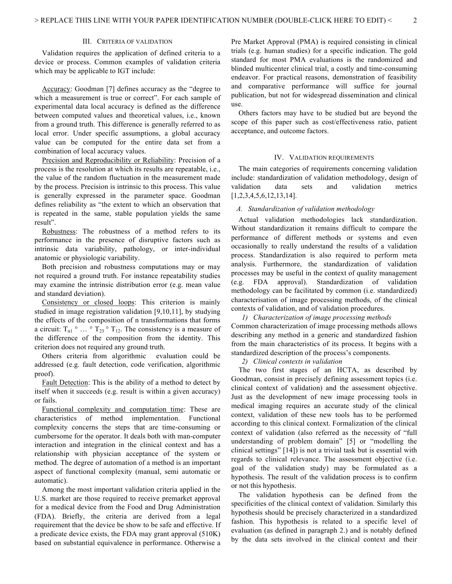#### III. CRITERIA OF VALIDATION

Validation requires the application of defined criteria to a device or process. Common examples of validation criteria which may be applicable to IGT include:

Accuracy: Goodman [7] defines accuracy as the "degree to which a measurement is true or correct". For each sample of experimental data local accuracy is defined as the difference between computed values and theoretical values, i.e., known from a ground truth. This difference is generally referred to as local error. Under specific assumptions, a global accuracy value can be computed for the entire data set from a combination of local accuracy values.

Precision and Reproducibility or Reliability: Precision of a process is the resolution at which its results are repeatable, i.e., the value of the random fluctuation in the measurement made by the process. Precision is intrinsic to this process. This value is generally expressed in the parameter space. Goodman defines reliability as "the extent to which an observation that is repeated in the same, stable population yields the same result".

Robustness: The robustness of a method refers to its performance in the presence of disruptive factors such as intrinsic data variability, pathology, or inter-individual anatomic or physiologic variability.

Both precision and robustness computations may or may not required a ground truth. For instance repeatability studies may examine the intrinsic distribution error (e.g. mean value and standard deviation).

Consistency or closed loops: This criterion is mainly studied in image registration validation [9,10,11], by studying the effects of the composition of n transformations that forms a circuit:  $T_{n1}$  ° ... °  $T_{23}$  °  $T_{12}$ . The consistency is a measure of the difference of the composition from the identity. This criterion does not required any ground truth.

Others criteria from algorithmic evaluation could be addressed (e.g. fault detection, code verification, algorithmic proof).

Fault Detection: This is the ability of a method to detect by itself when it succeeds (e.g. result is within a given accuracy) or fails.

Functional complexity and computation time: These are characteristics of method implementation. Functional complexity concerns the steps that are time-consuming or cumbersome for the operator. It deals both with man-computer interaction and integration in the clinical context and has a relationship with physician acceptance of the system or method. The degree of automation of a method is an important aspect of functional complexity (manual, semi automatic or automatic).

Among the most important validation criteria applied in the U.S. market are those required to receive premarket approval for a medical device from the Food and Drug Administration (FDA). Briefly, the criteria are derived from a legal requirement that the device be show to be safe and effective. If a predicate device exists, the FDA may grant approval (510K) based on substantial equivalence in performance. Otherwise a

Pre Market Approval (PMA) is required consisting in clinical trials (e.g. human studies) for a specific indication. The gold standard for most PMA evaluations is the randomized and blinded multicenter clinical trial, a costly and time-consuming endeavor. For practical reasons, demonstration of feasibility and comparative performance will suffice for journal publication, but not for widespread dissemination and clinical use.

Others factors may have to be studied but are beyond the scope of this paper such as cost/effectiveness ratio, patient acceptance, and outcome factors.

#### IV. VALIDATION REQUIREMENTS

The main categories of requirements concerning validation include: standardization of validation methodology, design of validation data sets and validation metrics [1,2,3,4,5,6,12,13,14].

#### *A. Standardization of validation methodology*

Actual validation methodologies lack standardization. Without standardization it remains difficult to compare the performance of different methods or systems and even occasionally to really understand the results of a validation process. Standardization is also required to perform meta analysis. Furthermore, the standardization of validation processes may be useful in the context of quality management (e.g. FDA approval). Standardization of validation methodology can be facilitated by common (i.e. standardized) characterisation of image processing methods, of the clinical contexts of validation, and of validation procedures.

*1) Characterization of image processing methods*

Common characterization of image processing methods allows describing any method in a generic and standardized fashion from the main characteristics of its process. It begins with a standardized description of the process's components.

*2) Clinical contexts in validation*

The two first stages of an HCTA, as described by Goodman, consist in precisely defining assessment topics (i.e. clinical context of validation) and the assessment objective. Just as the development of new image processing tools in medical imaging requires an accurate study of the clinical context, validation of these new tools has to be performed according to this clinical context. Formalization of the clinical context of validation (also referred as the necessity of "full understanding of problem domain" [5] or "modelling the clinical settings" [14]) is not a trivial task but is essential with regards to clinical relevance. The assessment objective (i.e. goal of the validation study) may be formulated as a hypothesis. The result of the validation process is to confirm or not this hypothesis.

The validation hypothesis can be defined from the specificities of the clinical context of validation. Similarly this hypothesis should be precisely characterized in a standardized fashion. This hypothesis is related to a specific level of evaluation (as defined in paragraph 2.) and is notably defined by the data sets involved in the clinical context and their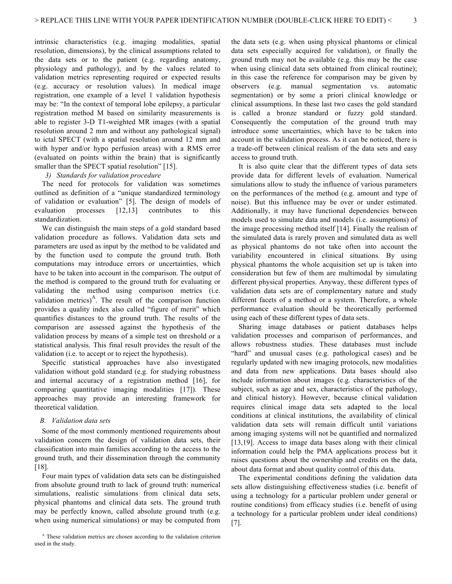intrinsic characteristics (e.g. imaging modalities, spatial resolution, dimensions), by the clinical assumptions related to the data sets or to the patient (e.g. regarding anatomy, physiology and pathology), and by the values related to validation metrics representing required or expected results (e.g. accuracy or resolution values). In medical image registration, one example of a level 1 validation hypothesis may be: "In the context of temporal lobe epilepsy, a particular registration method M based on similarity measurements is able to register 3-D T1-weighted MR images (with a spatial resolution around 2 mm and without any pathological signal) to ictal SPECT (with a spatial resolution around 12 mm and with hyper and/or hypo perfusion areas) with a RMS error (evaluated on points within the brain) that is significantly smaller than the SPECT spatial resolution" [15].

#### *3) Standards for validation procedure*

The need for protocols for validation was sometimes outlined as definition of a "unique standardized terminology of validation or evaluation" [5]. The design of models of evaluation processes [12,13] contributes to this standardization.

We can distinguish the main steps of a gold standard based validation procedure as follows. Validation data sets and parameters are used as input by the method to be validated and by the function used to compute the ground truth. Both computations may introduce errors or uncertainties, which have to be taken into account in the comparison. The output of the method is compared to the ground truth for evaluating or validating the method using comparison metrics (i.e. validation metrics) $A$ . The result of the comparison function provides a quality index also called "figure of merit" which quantifies distances to the ground truth. The results of the comparison are assessed against the hypothesis of the validation process by means of a simple test on threshold or a statistical analysis. This final result provides the result of the validation (i.e. to accept or to reject the hypothesis).

Specific statistical approaches have also investigated validation without gold standard (e.g. for studying robustness and internal accuracy of a registration method [16], for comparing quantitative imaging modalities [17]). These approaches may provide an interesting framework for theoretical validation.

#### *B. Validation data sets*

Some of the most commonly mentioned requirements about validation concern the design of validation data sets, their classification into main families according to the access to the ground truth, and their dissemination through the community [18].

Four main types of validation data sets can be distinguished from absolute ground truth to lack of ground truth: numerical simulations, realistic simulations from clinical data sets, physical phantoms and clinical data sets. The ground truth may be perfectly known, called absolute ground truth (e.g. when using numerical simulations) or may be computed from

the data sets (e.g. when using physical phantoms or clinical data sets especially acquired for validation), or finally the ground truth may not be available (e.g. this may be the case when using clinical data sets obtained from clinical routine); in this case the reference for comparison may be given by observers (e.g. manual segmentation vs. automatic segmentation) or by some a priori clinical knowledge or clinical assumptions. In these last two cases the gold standard is called a bronze standard or fuzzy gold standard. Consequently the computation of the ground truth may introduce some uncertainties, which have to be taken into account in the validation process. As it can be noticed, there is a trade-off between clinical realism of the data sets and easy access to ground truth.

It is also quite clear that the different types of data sets provide data for different levels of evaluation. Numerical simulations allow to study the influence of various parameters on the performances of the method (e.g. amount and type of noise). But this influence may be over or under estimated. Additionally, it may have functional dependencies between models used to simulate data and models (i.e. assumptions) of the image processing method itself [14]. Finally the realism of the simulated data is rarely proven and simulated data as well as physical phantoms do not take often into account the variability encountered in clinical situations. By using physical phantoms the whole acquisition set up is taken into consideration but few of them are multimodal by simulating different physical properties. Anyway, these different types of validation data sets are of complementary nature and study different facets of a method or a system. Therefore, a whole performance evaluation should be theoretically performed using each of these different types of data sets.

Sharing image databases or patient databases helps validation processes and comparison of performances, and allows robustness studies. These databases must include "hard" and unusual cases (e.g. pathological cases) and be regularly updated with new imaging protocols, new modalities and data from new applications. Data bases should also include information about images (e.g. characteristics of the subject, such as age and sex, characteristics of the pathology, and clinical history). However, because clinical validation requires clinical image data sets adapted to the local conditions at clinical institutions, the availability of clinical validation data sets will remain difficult until variations among imaging systems will not be quantified and normalized [13,19]. Access to image data bases along with their clinical information could help the PMA applications process but it raises questions about the ownership and credits on the data, about data format and about quality control of this data.

The experimental conditions defining the validation data sets allow distinguishing effectiveness studies (i.e. benefit of using a technology for a particular problem under general or routine conditions) from efficacy studies (i.e. benefit of using a technology for a particular problem under ideal conditions) [7].

A These validation metrics are chosen according to the validation criterion used in the study.